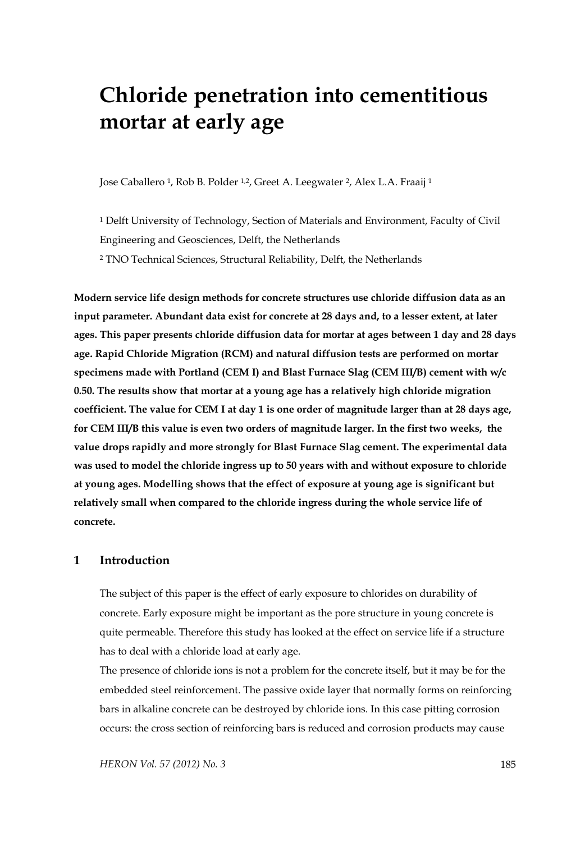# **Chloride penetration into cementitious mortar at early age**

Jose Caballero 1, Rob B. Polder 1,2, Greet A. Leegwater 2, Alex L.A. Fraaij 1

1 Delft University of Technology, Section of Materials and Environment, Faculty of Civil Engineering and Geosciences, Delft, the Netherlands 2 TNO Technical Sciences, Structural Reliability, Delft, the Netherlands

**Modern service life design methods for concrete structures use chloride diffusion data as an input parameter. Abundant data exist for concrete at 28 days and, to a lesser extent, at later ages. This paper presents chloride diffusion data for mortar at ages between 1 day and 28 days age. Rapid Chloride Migration (RCM) and natural diffusion tests are performed on mortar specimens made with Portland (CEM I) and Blast Furnace Slag (CEM III/B) cement with w/c 0.50. The results show that mortar at a young age has a relatively high chloride migration coefficient. The value for CEM I at day 1 is one order of magnitude larger than at 28 days age, for CEM III/B this value is even two orders of magnitude larger. In the first two weeks, the value drops rapidly and more strongly for Blast Furnace Slag cement. The experimental data was used to model the chloride ingress up to 50 years with and without exposure to chloride at young ages. Modelling shows that the effect of exposure at young age is significant but relatively small when compared to the chloride ingress during the whole service life of concrete.** 

# **1 Introduction**

The subject of this paper is the effect of early exposure to chlorides on durability of concrete. Early exposure might be important as the pore structure in young concrete is quite permeable. Therefore this study has looked at the effect on service life if a structure has to deal with a chloride load at early age.

The presence of chloride ions is not a problem for the concrete itself, but it may be for the embedded steel reinforcement. The passive oxide layer that normally forms on reinforcing bars in alkaline concrete can be destroyed by chloride ions. In this case pitting corrosion occurs: the cross section of reinforcing bars is reduced and corrosion products may cause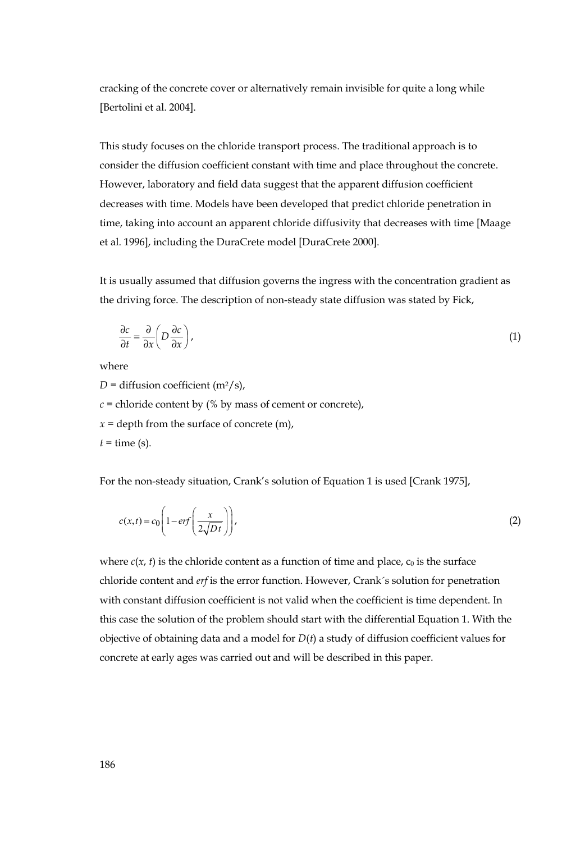cracking of the concrete cover or alternatively remain invisible for quite a long while [Bertolini et al. 2004].

This study focuses on the chloride transport process. The traditional approach is to consider the diffusion coefficient constant with time and place throughout the concrete. However, laboratory and field data suggest that the apparent diffusion coefficient decreases with time. Models have been developed that predict chloride penetration in time, taking into account an apparent chloride diffusivity that decreases with time [Maage et al. 1996], including the DuraCrete model [DuraCrete 2000].

It is usually assumed that diffusion governs the ingress with the concentration gradient as the driving force. The description of non-steady state diffusion was stated by Fick,

$$
\frac{\partial c}{\partial t} = \frac{\partial}{\partial x} \left( D \frac{\partial c}{\partial x} \right),\tag{1}
$$

where

 $D =$  diffusion coefficient (m<sup>2</sup>/s),  $c$  = chloride content by (% by mass of cement or concrete),

 $x =$  depth from the surface of concrete  $(m)$ ,

 $t =$  time (s).

For the non-steady situation, Crank's solution of Equation 1 is used [Crank 1975],

$$
c(x,t) = c_0 \left( 1 - erf\left(\frac{x}{2\sqrt{Dt}}\right) \right),\tag{2}
$$

where  $c(x, t)$  is the chloride content as a function of time and place,  $c_0$  is the surface chloride content and *erf* is the error function. However, Crank´s solution for penetration with constant diffusion coefficient is not valid when the coefficient is time dependent. In this case the solution of the problem should start with the differential Equation 1. With the objective of obtaining data and a model for *D*(*t*) a study of diffusion coefficient values for concrete at early ages was carried out and will be described in this paper.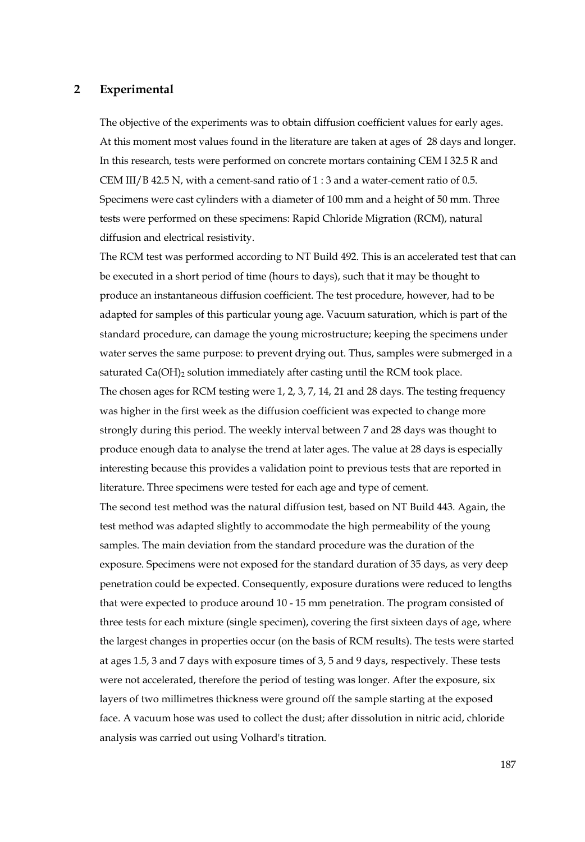## **2 Experimental**

The objective of the experiments was to obtain diffusion coefficient values for early ages. At this moment most values found in the literature are taken at ages of 28 days and longer. In this research, tests were performed on concrete mortars containing CEM I 32.5 R and CEM III/B 42.5 N, with a cement-sand ratio of 1 : 3 and a water-cement ratio of 0.5. Specimens were cast cylinders with a diameter of 100 mm and a height of 50 mm. Three tests were performed on these specimens: Rapid Chloride Migration (RCM), natural diffusion and electrical resistivity.

The RCM test was performed according to NT Build 492. This is an accelerated test that can be executed in a short period of time (hours to days), such that it may be thought to produce an instantaneous diffusion coefficient. The test procedure, however, had to be adapted for samples of this particular young age. Vacuum saturation, which is part of the standard procedure, can damage the young microstructure; keeping the specimens under water serves the same purpose: to prevent drying out. Thus, samples were submerged in a saturated Ca(OH)<sub>2</sub> solution immediately after casting until the RCM took place. The chosen ages for RCM testing were 1, 2, 3, 7, 14, 21 and 28 days. The testing frequency was higher in the first week as the diffusion coefficient was expected to change more strongly during this period. The weekly interval between 7 and 28 days was thought to produce enough data to analyse the trend at later ages. The value at 28 days is especially interesting because this provides a validation point to previous tests that are reported in literature. Three specimens were tested for each age and type of cement.

The second test method was the natural diffusion test, based on NT Build 443. Again, the test method was adapted slightly to accommodate the high permeability of the young samples. The main deviation from the standard procedure was the duration of the exposure. Specimens were not exposed for the standard duration of 35 days, as very deep penetration could be expected. Consequently, exposure durations were reduced to lengths that were expected to produce around 10 - 15 mm penetration. The program consisted of three tests for each mixture (single specimen), covering the first sixteen days of age, where the largest changes in properties occur (on the basis of RCM results). The tests were started at ages 1.5, 3 and 7 days with exposure times of 3, 5 and 9 days, respectively. These tests were not accelerated, therefore the period of testing was longer. After the exposure, six layers of two millimetres thickness were ground off the sample starting at the exposed face. A vacuum hose was used to collect the dust; after dissolution in nitric acid, chloride analysis was carried out using Volhard's titration.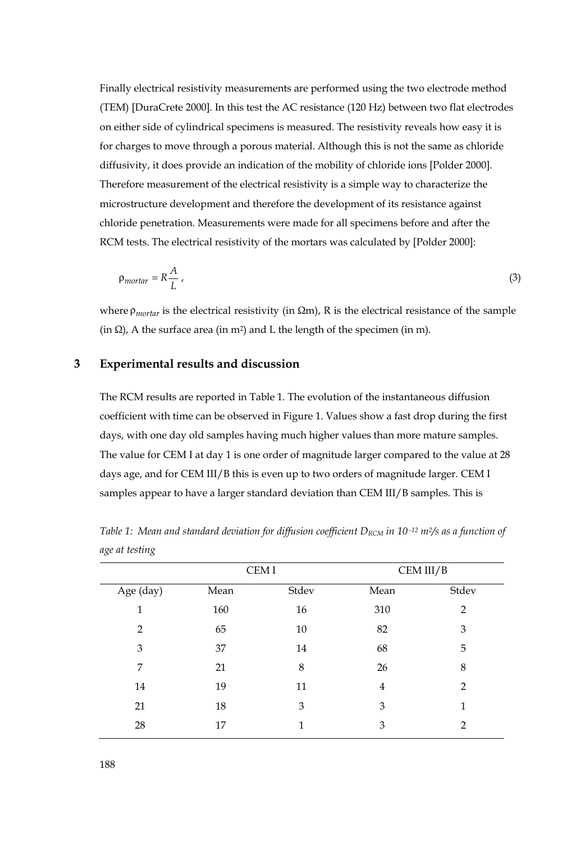Finally electrical resistivity measurements are performed using the two electrode method (TEM) [DuraCrete 2000]. In this test the AC resistance (120 Hz) between two flat electrodes on either side of cylindrical specimens is measured. The resistivity reveals how easy it is for charges to move through a porous material. Although this is not the same as chloride diffusivity, it does provide an indication of the mobility of chloride ions [Polder 2000]. Therefore measurement of the electrical resistivity is a simple way to characterize the microstructure development and therefore the development of its resistance against chloride penetration. Measurements were made for all specimens before and after the RCM tests. The electrical resistivity of the mortars was calculated by [Polder 2000]:

$$
\rho_{mortar} = R \frac{A}{L} \,, \tag{3}
$$

where ρ*mortar* is the electrical resistivity (in Ωm), R is the electrical resistance of the sample (in  $\Omega$ ), A the surface area (in m<sup>2</sup>) and L the length of the specimen (in m).

#### **3 Experimental results and discussion**

The RCM results are reported in Table 1. The evolution of the instantaneous diffusion coefficient with time can be observed in Figure 1. Values show a fast drop during the first days, with one day old samples having much higher values than more mature samples. The value for CEM I at day 1 is one order of magnitude larger compared to the value at 28 days age, and for CEM III/B this is even up to two orders of magnitude larger. CEM I samples appear to have a larger standard deviation than CEM III/B samples. This is

|           | CEM I |       | CEM III/B      |                |
|-----------|-------|-------|----------------|----------------|
| Age (day) | Mean  | Stdev | Mean           | Stdev          |
| 1         | 160   | 16    | 310            | $\overline{2}$ |
| 2         | 65    | 10    | 82             | 3              |
| 3         | 37    | 14    | 68             | 5              |
| 7         | 21    | 8     | 26             | 8              |
| 14        | 19    | 11    | $\overline{4}$ | $\overline{2}$ |
| 21        | 18    | 3     | 3              | 1              |
| 28        | 17    | 1     | 3              | 2              |

*Table 1: Mean and standard deviation for diffusion coefficient D<sub>RCM</sub> in 10<sup>-12</sup> m<sup>2</sup>/s as a function of age at testing*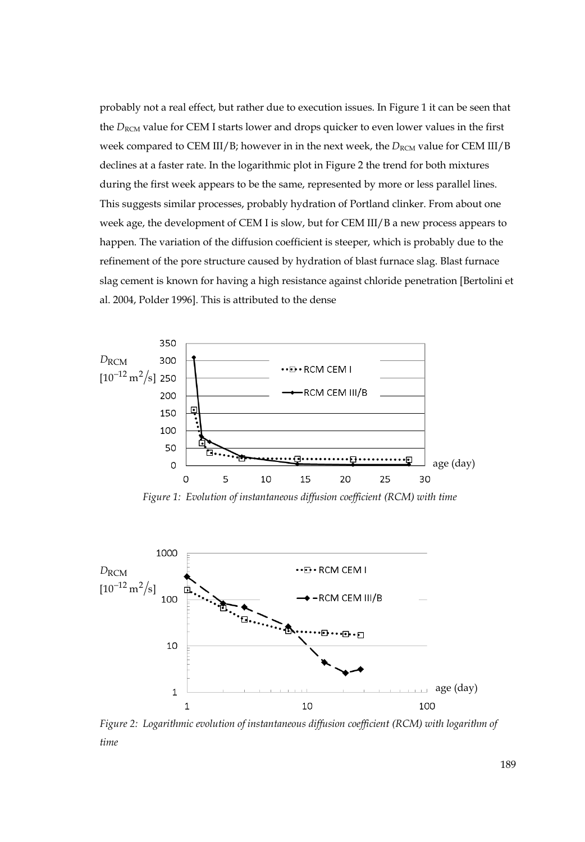probably not a real effect, but rather due to execution issues. In Figure 1 it can be seen that the *D<sub>RCM</sub>* value for CEM I starts lower and drops quicker to even lower values in the first week compared to CEM III/B; however in in the next week, the *D<sub>RCM</sub>* value for CEM III/B declines at a faster rate. In the logarithmic plot in Figure 2 the trend for both mixtures during the first week appears to be the same, represented by more or less parallel lines. This suggests similar processes, probably hydration of Portland clinker. From about one week age, the development of CEM I is slow, but for CEM III/B a new process appears to happen. The variation of the diffusion coefficient is steeper, which is probably due to the refinement of the pore structure caused by hydration of blast furnace slag. Blast furnace slag cement is known for having a high resistance against chloride penetration [Bertolini et al. 2004, Polder 1996]. This is attributed to the dense



*Figure 1: Evolution of instantaneous diffusion coefficient (RCM) with time* 



*Figure 2: Logarithmic evolution of instantaneous diffusion coefficient (RCM) with logarithm of time*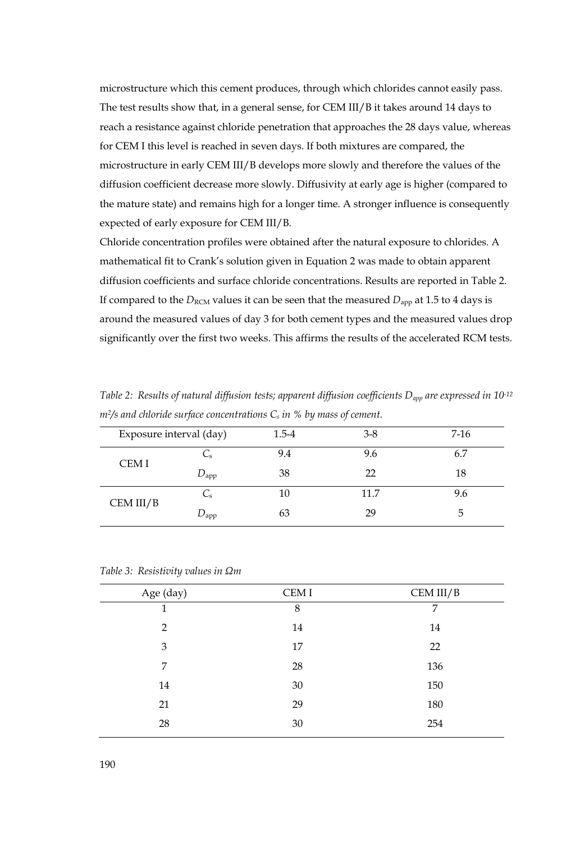microstructure which this cement produces, through which chlorides cannot easily pass. The test results show that, in a general sense, for CEM III/B it takes around 14 days to reach a resistance against chloride penetration that approaches the 28 days value, whereas for CEM I this level is reached in seven days. If both mixtures are compared, the microstructure in early CEM III/B develops more slowly and therefore the values of the diffusion coefficient decrease more slowly. Diffusivity at early age is higher (compared to the mature state) and remains high for a longer time. A stronger influence is consequently expected of early exposure for CEM III/B.

Chloride concentration profiles were obtained after the natural exposure to chlorides. A mathematical fit to Crank's solution given in Equation 2 was made to obtain apparent diffusion coefficients and surface chloride concentrations. Results are reported in Table 2. If compared to the  $D_{\text{RCM}}$  values it can be seen that the measured  $D_{\text{app}}$  at 1.5 to 4 days is around the measured values of day 3 for both cement types and the measured values drop significantly over the first two weeks. This affirms the results of the accelerated RCM tests.

| Table 2: Results of natural diffusion tests; apparent diffusion coefficients $D_{app}$ are expressed in 10-12 |  |  |  |  |
|---------------------------------------------------------------------------------------------------------------|--|--|--|--|
| $m^2$ /s and chloride surface concentrations $C_s$ in % by mass of cement.                                    |  |  |  |  |

| Exposure interval (day) |               | 1.5-4 | $3-8$ | $7-16$ |
|-------------------------|---------------|-------|-------|--------|
| CEM I                   | ىر            | 9.4   | 9.6   | 6.7    |
|                         | $D_{\rm app}$ | 38    | 22    | 18     |
| CEM III/B               | ىر            | 10    | 11.7  | 9.6    |
|                         | $D_{\rm app}$ | 63    | 29    | 5      |

| Age (day)      | CEM I | CEM III/B |
|----------------|-------|-----------|
| 1              | 8     | 7         |
| $\overline{2}$ | 14    | 14        |
| 3              | 17    | 22        |
| 7              | 28    | 136       |
| 14             | 30    | 150       |
| 21             | 29    | 180       |
| 28             | 30    | 254       |

*Table 3: Resistivity values in Ωm*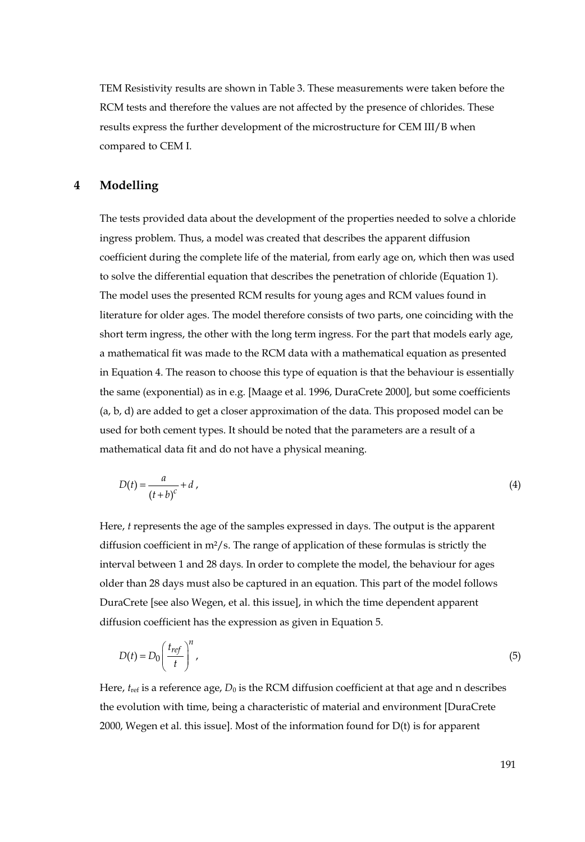TEM Resistivity results are shown in Table 3. These measurements were taken before the RCM tests and therefore the values are not affected by the presence of chlorides. These results express the further development of the microstructure for CEM III/B when compared to CEM I.

# **4 Modelling**

The tests provided data about the development of the properties needed to solve a chloride ingress problem. Thus, a model was created that describes the apparent diffusion coefficient during the complete life of the material, from early age on, which then was used to solve the differential equation that describes the penetration of chloride (Equation 1). The model uses the presented RCM results for young ages and RCM values found in literature for older ages. The model therefore consists of two parts, one coinciding with the short term ingress, the other with the long term ingress. For the part that models early age, a mathematical fit was made to the RCM data with a mathematical equation as presented in Equation 4. The reason to choose this type of equation is that the behaviour is essentially the same (exponential) as in e.g. [Maage et al. 1996, DuraCrete 2000], but some coefficients (a, b, d) are added to get a closer approximation of the data. This proposed model can be used for both cement types. It should be noted that the parameters are a result of a mathematical data fit and do not have a physical meaning.

$$
D(t) = \frac{a}{(t+b)^c} + d \tag{4}
$$

Here, *t* represents the age of the samples expressed in days. The output is the apparent diffusion coefficient in  $m^2/s$ . The range of application of these formulas is strictly the interval between 1 and 28 days. In order to complete the model, the behaviour for ages older than 28 days must also be captured in an equation. This part of the model follows DuraCrete [see also Wegen, et al. this issue], in which the time dependent apparent diffusion coefficient has the expression as given in Equation 5.

$$
D(t) = D_0 \left(\frac{t_{ref}}{t}\right)^n,\tag{5}
$$

Here,  $t_{\text{ref}}$  is a reference age,  $D_0$  is the RCM diffusion coefficient at that age and n describes the evolution with time, being a characteristic of material and environment [DuraCrete 2000, Wegen et al. this issue]. Most of the information found for D(t) is for apparent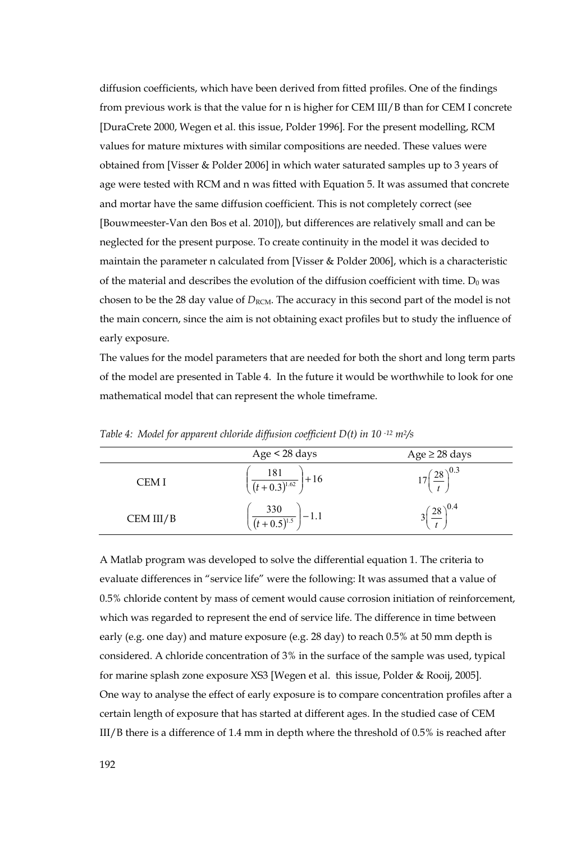diffusion coefficients, which have been derived from fitted profiles. One of the findings from previous work is that the value for n is higher for CEM III/B than for CEM I concrete [DuraCrete 2000, Wegen et al. this issue, Polder 1996]. For the present modelling, RCM values for mature mixtures with similar compositions are needed. These values were obtained from [Visser & Polder 2006] in which water saturated samples up to 3 years of age were tested with RCM and n was fitted with Equation 5. It was assumed that concrete and mortar have the same diffusion coefficient. This is not completely correct (see [Bouwmeester-Van den Bos et al. 2010]), but differences are relatively small and can be neglected for the present purpose. To create continuity in the model it was decided to maintain the parameter n calculated from [Visser & Polder 2006], which is a characteristic of the material and describes the evolution of the diffusion coefficient with time.  $D_0$  was chosen to be the 28 day value of  $D_{\text{RCM}}$ . The accuracy in this second part of the model is not the main concern, since the aim is not obtaining exact profiles but to study the influence of early exposure.

The values for the model parameters that are needed for both the short and long term parts of the model are presented in Table 4. In the future it would be worthwhile to look for one mathematical model that can represent the whole timeframe.

|           | Age < 28 days                                  | Age $\geq$ 28 days |
|-----------|------------------------------------------------|--------------------|
| CEM I     | $\left(\frac{181}{(t+0.3)^{1.62}}\right) + 16$ | $(28)^{0.3}$       |
| CEM III/B | $\left(\frac{330}{(t+0.5)^{1.5}}\right) - 1.1$ | $(28)^{0.4}$       |

*Table 4: Model for apparent chloride diffusion coefficient D(t) in 10 -12 m2/s* 

A Matlab program was developed to solve the differential equation 1. The criteria to evaluate differences in "service life" were the following: It was assumed that a value of 0.5% chloride content by mass of cement would cause corrosion initiation of reinforcement, which was regarded to represent the end of service life. The difference in time between early (e.g. one day) and mature exposure (e.g. 28 day) to reach 0.5% at 50 mm depth is considered. A chloride concentration of 3% in the surface of the sample was used, typical for marine splash zone exposure XS3 [Wegen et al. this issue, Polder & Rooij, 2005]. One way to analyse the effect of early exposure is to compare concentration profiles after a certain length of exposure that has started at different ages. In the studied case of CEM III/B there is a difference of 1.4 mm in depth where the threshold of 0.5% is reached after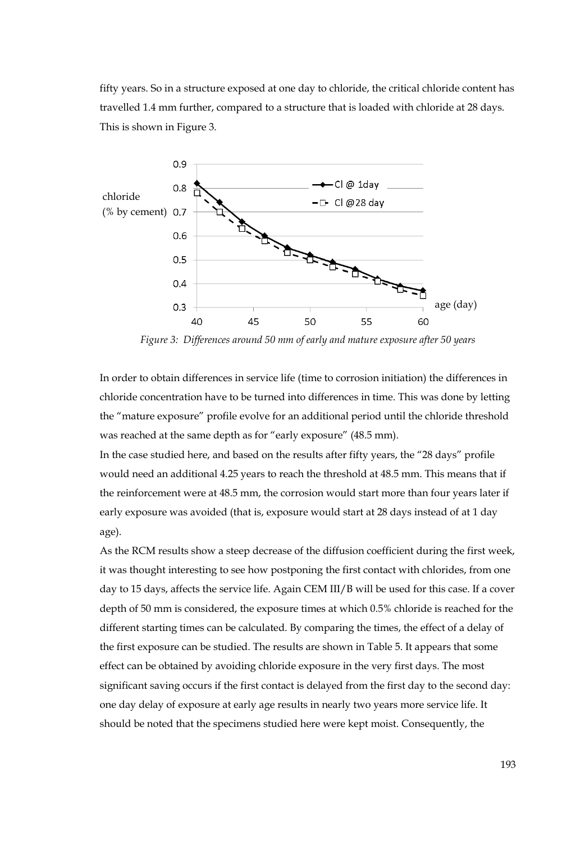fifty years. So in a structure exposed at one day to chloride, the critical chloride content has travelled 1.4 mm further, compared to a structure that is loaded with chloride at 28 days. This is shown in Figure 3.



*Figure 3: Differences around 50 mm of early and mature exposure after 50 years* 

In order to obtain differences in service life (time to corrosion initiation) the differences in chloride concentration have to be turned into differences in time. This was done by letting the "mature exposure" profile evolve for an additional period until the chloride threshold was reached at the same depth as for "early exposure" (48.5 mm).

In the case studied here, and based on the results after fifty years, the "28 days" profile would need an additional 4.25 years to reach the threshold at 48.5 mm. This means that if the reinforcement were at 48.5 mm, the corrosion would start more than four years later if early exposure was avoided (that is, exposure would start at 28 days instead of at 1 day age).

As the RCM results show a steep decrease of the diffusion coefficient during the first week, it was thought interesting to see how postponing the first contact with chlorides, from one day to 15 days, affects the service life. Again CEM III/B will be used for this case. If a cover depth of 50 mm is considered, the exposure times at which 0.5% chloride is reached for the different starting times can be calculated. By comparing the times, the effect of a delay of the first exposure can be studied. The results are shown in Table 5. It appears that some effect can be obtained by avoiding chloride exposure in the very first days. The most significant saving occurs if the first contact is delayed from the first day to the second day: one day delay of exposure at early age results in nearly two years more service life. It should be noted that the specimens studied here were kept moist. Consequently, the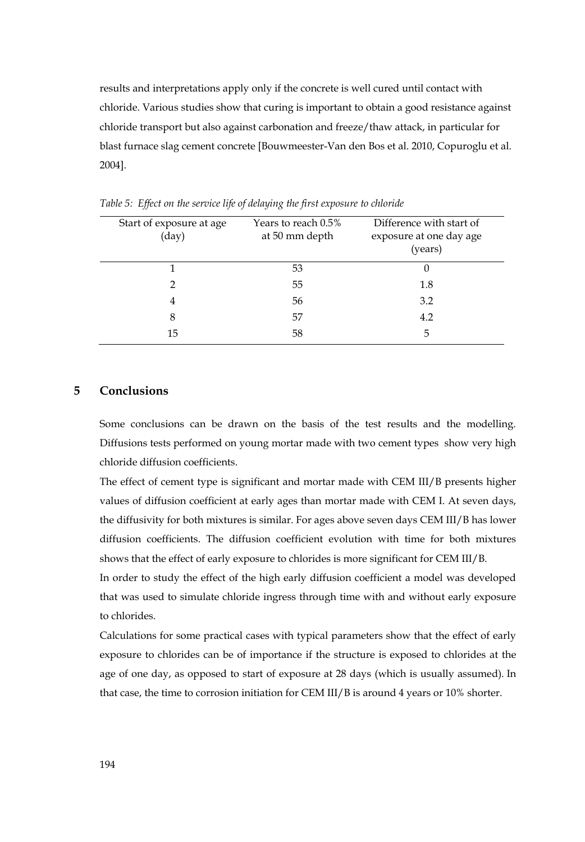results and interpretations apply only if the concrete is well cured until contact with chloride. Various studies show that curing is important to obtain a good resistance against chloride transport but also against carbonation and freeze/thaw attack, in particular for blast furnace slag cement concrete [Bouwmeester-Van den Bos et al. 2010, Copuroglu et al. 2004].

| Start of exposure at age<br>$\rm (day)$ | Years to reach 0.5%<br>at 50 mm depth | Difference with start of<br>exposure at one day age<br>(years) |
|-----------------------------------------|---------------------------------------|----------------------------------------------------------------|
|                                         | 53                                    | U                                                              |
|                                         | 55                                    | 1.8                                                            |
| 4                                       | 56                                    | 3.2                                                            |
| 8                                       | 57                                    | 4.2                                                            |
| 15                                      | 58                                    | 5                                                              |
|                                         |                                       |                                                                |

*Table 5: Effect on the service life of delaying the first exposure to chloride* 

### **5 Conclusions**

Some conclusions can be drawn on the basis of the test results and the modelling. Diffusions tests performed on young mortar made with two cement types show very high chloride diffusion coefficients.

The effect of cement type is significant and mortar made with CEM III/B presents higher values of diffusion coefficient at early ages than mortar made with CEM I. At seven days, the diffusivity for both mixtures is similar. For ages above seven days CEM III/B has lower diffusion coefficients. The diffusion coefficient evolution with time for both mixtures shows that the effect of early exposure to chlorides is more significant for CEM III/B.

In order to study the effect of the high early diffusion coefficient a model was developed that was used to simulate chloride ingress through time with and without early exposure to chlorides.

Calculations for some practical cases with typical parameters show that the effect of early exposure to chlorides can be of importance if the structure is exposed to chlorides at the age of one day, as opposed to start of exposure at 28 days (which is usually assumed). In that case, the time to corrosion initiation for CEM III/B is around 4 years or 10% shorter.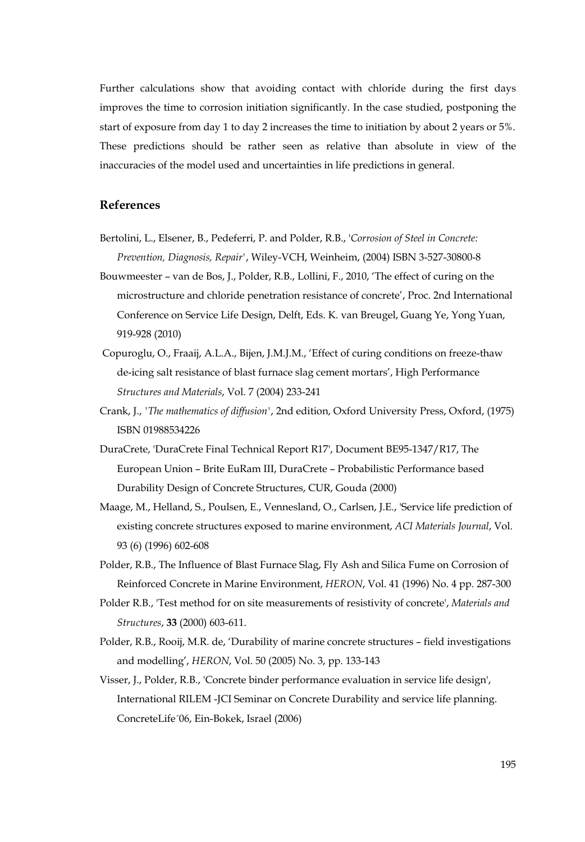Further calculations show that avoiding contact with chloride during the first days improves the time to corrosion initiation significantly. In the case studied, postponing the start of exposure from day 1 to day 2 increases the time to initiation by about 2 years or 5%. These predictions should be rather seen as relative than absolute in view of the inaccuracies of the model used and uncertainties in life predictions in general.

# **References**

- Bertolini, L., Elsener, B., Pedeferri, P. and Polder, R.B., '*Corrosion of Steel in Concrete: Prevention, Diagnosis, Repair'*, Wiley-VCH, Weinheim, (2004) ISBN 3-527-30800-8
- Bouwmeester van de Bos, J., Polder, R.B., Lollini, F., 2010, 'The effect of curing on the microstructure and chloride penetration resistance of concrete', Proc. 2nd International Conference on Service Life Design, Delft, Eds. K. van Breugel, Guang Ye, Yong Yuan, 919-928 (2010)
- Copuroglu, O., Fraaij, A.L.A., Bijen, J.M.J.M., 'Effect of curing conditions on freeze-thaw de-icing salt resistance of blast furnace slag cement mortars', High Performance *Structures and Materials*, Vol. 7 (2004) 233-241
- Crank, J., *'The mathematics of diffusion'*, 2nd edition, Oxford University Press, Oxford, (1975) ISBN 01988534226
- DuraCrete, 'DuraCrete Final Technical Report R17', Document BE95-1347/R17, The European Union – Brite EuRam III, DuraCrete – Probabilistic Performance based Durability Design of Concrete Structures, CUR, Gouda (2000)
- Maage, M., Helland, S., Poulsen, E., Vennesland, O., Carlsen, J.E., 'Service life prediction of existing concrete structures exposed to marine environment, *ACI Materials Journal*, Vol. 93 (6) (1996) 602-608
- Polder, R.B., The Influence of Blast Furnace Slag, Fly Ash and Silica Fume on Corrosion of Reinforced Concrete in Marine Environment, *HERON*, Vol. 41 (1996) No. 4 pp. 287-300
- Polder R.B., 'Test method for on site measurements of resistivity of concrete', *Materials and Structures*, **33** (2000) 603-611.
- Polder, R.B., Rooij, M.R. de, 'Durability of marine concrete structures field investigations and modelling', *HERON*, Vol. 50 (2005) No. 3, pp. 133-143
- Visser, J., Polder, R.B., 'Concrete binder performance evaluation in service life design', International RILEM -JCI Seminar on Concrete Durability and service life planning. ConcreteLife´06, Ein-Bokek, Israel (2006)